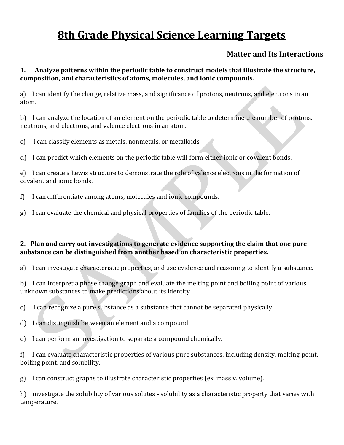# **8th Grade Physical Science Learning Targets**

# **Matter and Its Interactions**

# **1. Analyze patterns within the periodic table to construct models that illustrate the structure, composition, and characteristics of atoms, molecules, and ionic compounds.**

a) I can identify the charge, relative mass, and significance of protons, neutrons, and electrons in an atom.

b) I can analyze the location of an element on the periodic table to determine the number of protons, neutrons, and electrons, and valence electrons in an atom.

c) I can classify elements as metals, nonmetals, or metalloids.

d) I can predict which elements on the periodic table will form either ionic or covalent bonds.

e) I can create a Lewis structure to demonstrate the role of valence electrons in the formation of covalent and ionic bonds.

- f) I can differentiate among atoms, molecules and ionic compounds.
- g) I can evaluate the chemical and physical properties of families of the periodic table.

# **2. Plan and carry out investigations to generate evidence supporting the claim that one pure substance can be distinguished from another based on characteristic properties.**

a) I can investigate characteristic properties, and use evidence and reasoning to identify a substance.

b) I can interpret a phase change graph and evaluate the melting point and boiling point of various unknown substances to make predictions about its identity.

c) I can recognize a pure substance as a substance that cannot be separated physically.

- d) I can distinguish between an element and a compound.
- e) I can perform an investigation to separate a compound chemically.

f) I can evaluate characteristic properties of various pure substances, including density, melting point, boiling point, and solubility.

g) I can construct graphs to illustrate characteristic properties (ex. mass v. volume).

h) investigate the solubility of various solutes - solubility as a characteristic property that varies with temperature.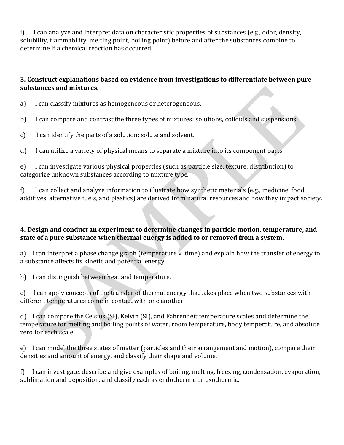i) I can analyze and interpret data on characteristic properties of substances (e.g., odor, density, solubility, flammability, melting point, boiling point) before and after the substances combine to determine if a chemical reaction has occurred.

# **3. Construct explanations based on evidence from investigations to differentiate between pure substances and mixtures.**

a) I can classify mixtures as homogeneous or heterogeneous.

b) I can compare and contrast the three types of mixtures: solutions, colloids and suspensions.

c) I can identify the parts of a solution: solute and solvent.

d) I can utilize a variety of physical means to separate a mixture into its component parts

e) I can investigate various physical properties (such as particle size, texture, distribution) to categorize unknown substances according to mixture type.

f) I can collect and analyze information to illustrate how synthetic materials (e.g., medicine, food additives, alternative fuels, and plastics) are derived from natural resources and how they impact society.

# **4. Design and conduct an experiment to determine changes in particle motion, temperature, and state of a pure substance when thermal energy is added to or removed from a system.**

a) I can interpret a phase change graph (temperature v. time) and explain how the transfer of energy to a substance affects its kinetic and potential energy.

b) I can distinguish between heat and temperature.

c) I can apply concepts of the transfer of thermal energy that takes place when two substances with different temperatures come in contact with one another.

d) I can compare the Celsius (SI), Kelvin (SI), and Fahrenheit temperature scales and determine the temperature for melting and boiling points of water, room temperature, body temperature, and absolute zero for each scale.

e) I can model the three states of matter (particles and their arrangement and motion), compare their densities and amount of energy, and classify their shape and volume.

f) I can investigate, describe and give examples of boiling, melting, freezing, condensation, evaporation, sublimation and deposition, and classify each as endothermic or exothermic.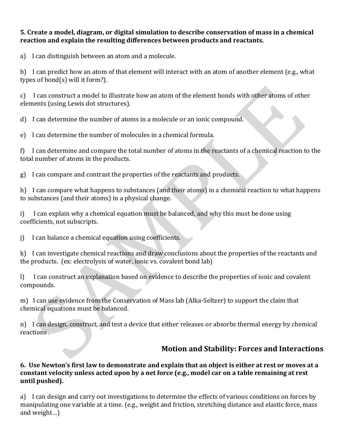## **5. Create a model, diagram, or digital simulation to describe conservation of mass in a chemical reaction and explain the resulting differences between products and reactants.**

a) I can distinguish between an atom and a molecule.

b) I can predict how an atom of that element will interact with an atom of another element (e.g., what types of bond(s) will it form?).

c) I can construct a model to illustrate how an atom of the element bonds with other atoms of other elements (using Lewis dot structures).

d) I can determine the number of atoms in a molecule or an ionic compound.

e) I can determine the number of molecules in a chemical formula.

f) I can determine and compare the total number of atoms in the reactants of a chemical reaction to the total number of atoms in the products.

g) I can compare and contrast the properties of the reactants and products.

h) I can compare what happens to substances (and their atoms) in a chemical reaction to what happens to substances (and their atoms) in a physical change.

i) I can explain why a chemical equation must be balanced, and why this must be done using coefficients, not subscripts.

j) I can balance a chemical equation using coefficients.

k) I can investigate chemical reactions and draw conclusions about the properties of the reactants and the products. (ex: electrolysis of water, ionic vs. covalent bond lab)

l) I can construct an explanation based on evidence to describe the properties of ionic and covalent compounds.

m) I can use evidence from the Conservation of Mass lab (Alka-Seltzer) to support the claim that chemical equations must be balanced.

n) I can design, construct, and test a device that either releases or absorbs thermal energy by chemical reactions .

# **Motion and Stability: Forces and Interactions**

#### **6. Use Newton's first law to demonstrate and explain that an object is either at rest or moves at a constant velocity unless acted upon by a net force (e.g., model car on a table remaining at rest until pushed).**

a) I can design and carry out investigations to determine the effects of various conditions on forces by manipulating one variable at a time. (e.g., weight and friction, stretching distance and elastic force, mass and weight…)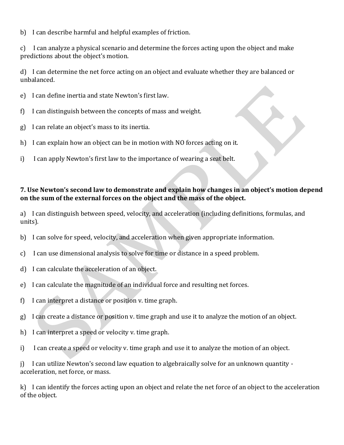b) I can describe harmful and helpful examples of friction.

c) I can analyze a physical scenario and determine the forces acting upon the object and make predictions about the object's motion.

d) I can determine the net force acting on an object and evaluate whether they are balanced or unbalanced.

- e) I can define inertia and state Newton's first law.
- f) I can distinguish between the concepts of mass and weight.
- g) I can relate an object's mass to its inertia.
- h) I can explain how an object can be in motion with NO forces acting on it.
- i) I can apply Newton's first law to the importance of wearing a seat belt.

# **7. Use Newton's second law to demonstrate and explain how changes in an object's motion depend on the sum of the external forces on the object and the mass of the object.**

a) I can distinguish between speed, velocity, and acceleration (including definitions, formulas, and units).

- b) I can solve for speed, velocity, and acceleration when given appropriate information.
- c) I can use dimensional analysis to solve for time or distance in a speed problem.
- d) I can calculate the acceleration of an object.
- e) I can calculate the magnitude of an individual force and resulting net forces.
- f) I can interpret a distance or position v. time graph.
- g) I can create a distance or position v. time graph and use it to analyze the motion of an object.
- h) I can interpret a speed or velocity v. time graph.
- i) I can create a speed or velocity v. time graph and use it to analyze the motion of an object.

j) I can utilize Newton's second law equation to algebraically solve for an unknown quantity acceleration, net force, or mass.

k) I can identify the forces acting upon an object and relate the net force of an object to the acceleration of the object.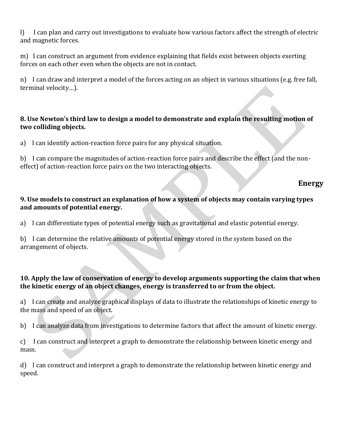l) I can plan and carry out investigations to evaluate how various factors affect the strength of electric and magnetic forces.

m) I can construct an argument from evidence explaining that fields exist between objects exerting forces on each other even when the objects are not in contact.

n) I can draw and interpret a model of the forces acting on an object in various situations (e.g. free fall, terminal velocity…).

# **8. Use Newton's third law to design a model to demonstrate and explain the resulting motion of two colliding objects.**

a) I can identify action-reaction force pairs for any physical situation.

b) I can compare the magnitudes of action-reaction force pairs and describe the effect (and the noneffect) of action-reaction force pairs on the two interacting objects.

# **Energy**

#### **9. Use models to construct an explanation of how a system of objects may contain varying types and amounts of potential energy.**

a) I can differentiate types of potential energy such as gravitational and elastic potential energy.

b) I can determine the relative amounts of potential energy stored in the system based on the arrangement of objects.

# **10. Apply the law of conservation of energy to develop arguments supporting the claim that when the kinetic energy of an object changes, energy is transferred to or from the object.**

a) I can create and analyze graphical displays of data to illustrate the relationships of kinetic energy to the mass and speed of an object.

b) I can analyze data from investigations to determine factors that affect the amount of kinetic energy.

c) I can construct and interpret a graph to demonstrate the relationship between kinetic energy and mass.

d) I can construct and interpret a graph to demonstrate the relationship between kinetic energy and speed.